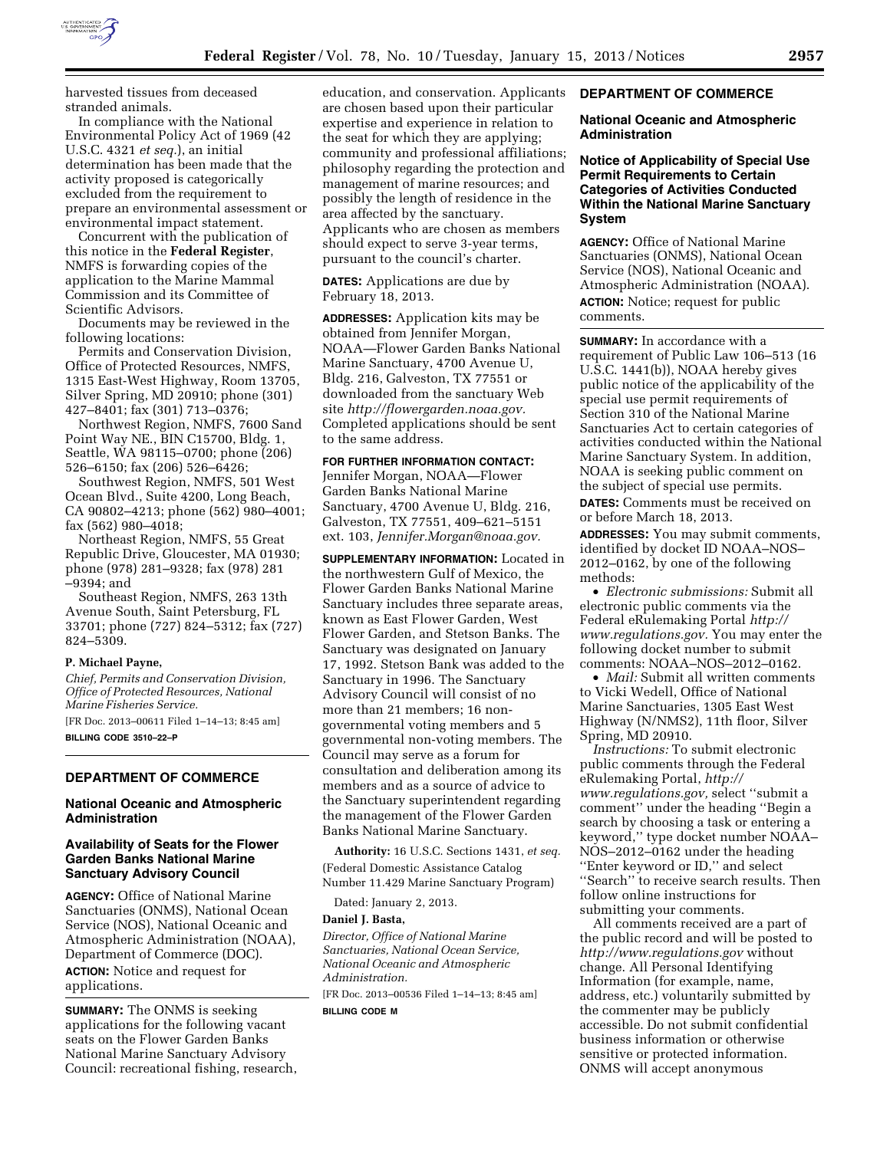

harvested tissues from deceased stranded animals.

In compliance with the National Environmental Policy Act of 1969 (42 U.S.C. 4321 *et seq.*), an initial determination has been made that the activity proposed is categorically excluded from the requirement to prepare an environmental assessment or environmental impact statement.

Concurrent with the publication of this notice in the **Federal Register**, NMFS is forwarding copies of the application to the Marine Mammal Commission and its Committee of Scientific Advisors.

Documents may be reviewed in the following locations:

Permits and Conservation Division, Office of Protected Resources, NMFS, 1315 East-West Highway, Room 13705, Silver Spring, MD 20910; phone (301) 427–8401; fax (301) 713–0376;

Northwest Region, NMFS, 7600 Sand Point Way NE., BIN C15700, Bldg. 1, Seattle, WA 98115–0700; phone (206) 526–6150; fax (206) 526–6426;

Southwest Region, NMFS, 501 West Ocean Blvd., Suite 4200, Long Beach, CA 90802–4213; phone (562) 980–4001; fax (562) 980–4018;

Northeast Region, NMFS, 55 Great Republic Drive, Gloucester, MA 01930; phone (978) 281–9328; fax (978) 281 –9394; and

Southeast Region, NMFS, 263 13th Avenue South, Saint Petersburg, FL 33701; phone (727) 824–5312; fax (727) 824–5309.

## **P. Michael Payne,**

*Chief, Permits and Conservation Division, Office of Protected Resources, National Marine Fisheries Service.*  [FR Doc. 2013–00611 Filed 1–14–13; 8:45 am] **BILLING CODE 3510–22–P** 

#### **DEPARTMENT OF COMMERCE**

## **National Oceanic and Atmospheric Administration**

### **Availability of Seats for the Flower Garden Banks National Marine Sanctuary Advisory Council**

**AGENCY:** Office of National Marine Sanctuaries (ONMS), National Ocean Service (NOS), National Oceanic and Atmospheric Administration (NOAA), Department of Commerce (DOC). **ACTION:** Notice and request for applications.

**SUMMARY:** The ONMS is seeking applications for the following vacant seats on the Flower Garden Banks National Marine Sanctuary Advisory Council: recreational fishing, research,

education, and conservation. Applicants are chosen based upon their particular expertise and experience in relation to the seat for which they are applying; community and professional affiliations; philosophy regarding the protection and management of marine resources; and possibly the length of residence in the area affected by the sanctuary. Applicants who are chosen as members should expect to serve 3-year terms, pursuant to the council's charter.

# **DATES:** Applications are due by February 18, 2013.

**ADDRESSES:** Application kits may be obtained from Jennifer Morgan, NOAA—Flower Garden Banks National Marine Sanctuary, 4700 Avenue U, Bldg. 216, Galveston, TX 77551 or downloaded from the sanctuary Web site *[http://flowergarden.noaa.gov.](http://flowergarden.noaa.gov)*  Completed applications should be sent to the same address.

## **FOR FURTHER INFORMATION CONTACT:**

Jennifer Morgan, NOAA—Flower Garden Banks National Marine Sanctuary, 4700 Avenue U, Bldg. 216, Galveston, TX 77551, 409–621–5151 ext. 103, *[Jennifer.Morgan@noaa.gov.](mailto:Jennifer.Morgan@noaa.gov)* 

**SUPPLEMENTARY INFORMATION:** Located in the northwestern Gulf of Mexico, the Flower Garden Banks National Marine Sanctuary includes three separate areas, known as East Flower Garden, West Flower Garden, and Stetson Banks. The Sanctuary was designated on January 17, 1992. Stetson Bank was added to the Sanctuary in 1996. The Sanctuary Advisory Council will consist of no more than 21 members; 16 nongovernmental voting members and 5 governmental non-voting members. The Council may serve as a forum for consultation and deliberation among its members and as a source of advice to the Sanctuary superintendent regarding the management of the Flower Garden Banks National Marine Sanctuary.

**Authority:** 16 U.S.C. Sections 1431, *et seq.*  (Federal Domestic Assistance Catalog Number 11.429 Marine Sanctuary Program)

Dated: January 2, 2013.

## **Daniel J. Basta,**

*Director, Office of National Marine Sanctuaries, National Ocean Service, National Oceanic and Atmospheric Administration.* 

[FR Doc. 2013–00536 Filed 1–14–13; 8:45 am]

**BILLING CODE M** 

## **DEPARTMENT OF COMMERCE**

#### **National Oceanic and Atmospheric Administration**

## **Notice of Applicability of Special Use Permit Requirements to Certain Categories of Activities Conducted Within the National Marine Sanctuary System**

**AGENCY:** Office of National Marine Sanctuaries (ONMS), National Ocean Service (NOS), National Oceanic and Atmospheric Administration (NOAA). **ACTION:** Notice; request for public comments.

**SUMMARY:** In accordance with a requirement of Public Law 106–513 (16 U.S.C. 1441(b)), NOAA hereby gives public notice of the applicability of the special use permit requirements of Section 310 of the National Marine Sanctuaries Act to certain categories of activities conducted within the National Marine Sanctuary System. In addition, NOAA is seeking public comment on the subject of special use permits.

**DATES:** Comments must be received on or before March 18, 2013.

**ADDRESSES:** You may submit comments, identified by docket ID NOAA–NOS– 2012–0162, by one of the following methods:

• *Electronic submissions:* Submit all electronic public comments via the Federal eRulemaking Portal *[http://](http://www.regulations.gov) [www.regulations.gov.](http://www.regulations.gov)* You may enter the following docket number to submit comments: NOAA–NOS–2012–0162.

• *Mail:* Submit all written comments to Vicki Wedell, Office of National Marine Sanctuaries, 1305 East West Highway (N/NMS2), 11th floor, Silver Spring, MD 20910.

*Instructions:* To submit electronic public comments through the Federal eRulemaking Portal, *[http://](http://www.regulations.gov) [www.regulations.gov,](http://www.regulations.gov)* select ''submit a comment'' under the heading ''Begin a search by choosing a task or entering a keyword,'' type docket number NOAA– NOS–2012–0162 under the heading ''Enter keyword or ID,'' and select ''Search'' to receive search results. Then follow online instructions for submitting your comments.

All comments received are a part of the public record and will be posted to *<http://www.regulations.gov>* without change. All Personal Identifying Information (for example, name, address, etc.) voluntarily submitted by the commenter may be publicly accessible. Do not submit confidential business information or otherwise sensitive or protected information. ONMS will accept anonymous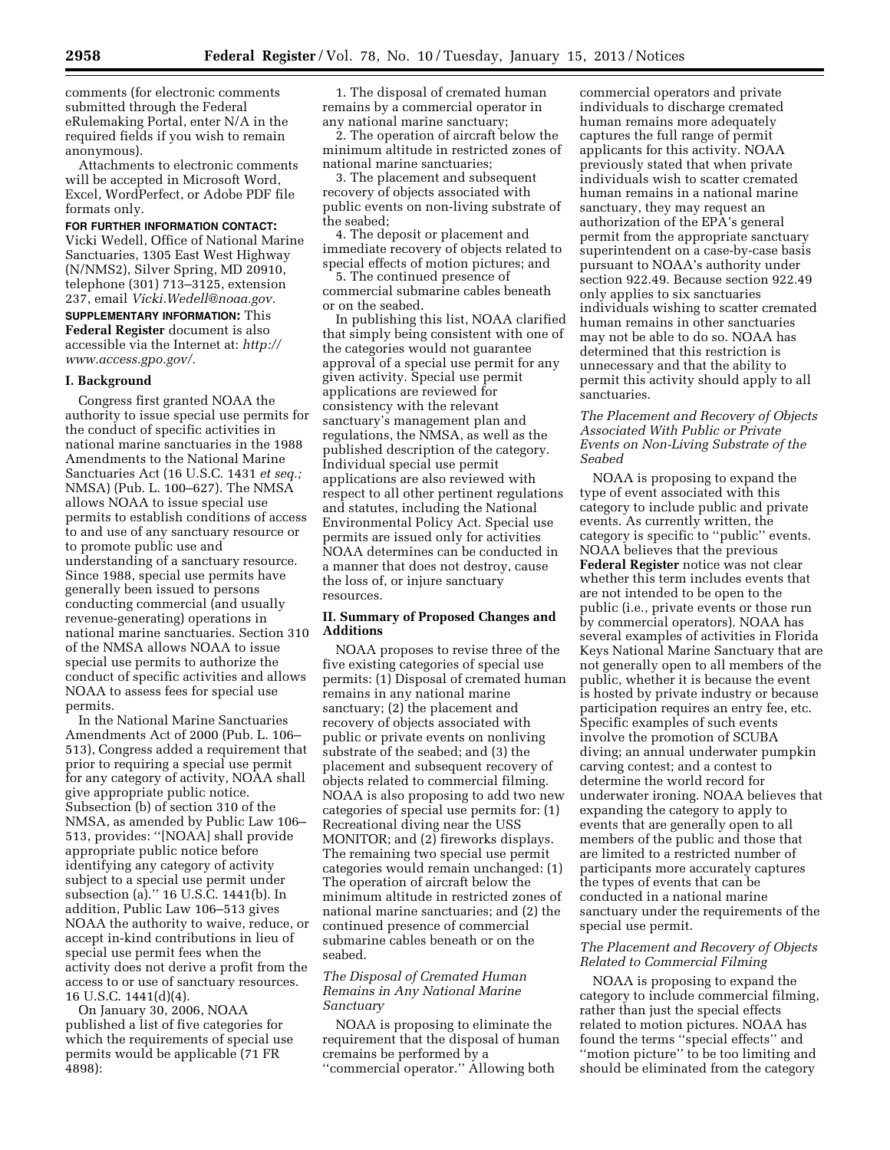comments (for electronic comments submitted through the Federal eRulemaking Portal, enter N/A in the required fields if you wish to remain anonymous).

Attachments to electronic comments will be accepted in Microsoft Word, Excel, WordPerfect, or Adobe PDF file formats only.

#### **FOR FURTHER INFORMATION CONTACT:**

Vicki Wedell, Office of National Marine Sanctuaries, 1305 East West Highway (N/NMS2), Silver Spring, MD 20910, telephone (301) 713–3125, extension 237, email *[Vicki.Wedell@noaa.gov.](mailto:Vicki.Wedell@noaa.gov)* 

**SUPPLEMENTARY INFORMATION:** This **Federal Register** document is also accessible via the Internet at: *[http://](http://www.access.gpo.gov/) [www.access.gpo.gov/.](http://www.access.gpo.gov/)* 

#### **I. Background**

Congress first granted NOAA the authority to issue special use permits for the conduct of specific activities in national marine sanctuaries in the 1988 Amendments to the National Marine Sanctuaries Act (16 U.S.C. 1431 *et seq.;*  NMSA) (Pub. L. 100–627). The NMSA allows NOAA to issue special use permits to establish conditions of access to and use of any sanctuary resource or to promote public use and understanding of a sanctuary resource. Since 1988, special use permits have generally been issued to persons conducting commercial (and usually revenue-generating) operations in national marine sanctuaries. Section 310 of the NMSA allows NOAA to issue special use permits to authorize the conduct of specific activities and allows NOAA to assess fees for special use permits.

In the National Marine Sanctuaries Amendments Act of 2000 (Pub. L. 106– 513), Congress added a requirement that prior to requiring a special use permit for any category of activity, NOAA shall give appropriate public notice. Subsection (b) of section 310 of the NMSA, as amended by Public Law 106– 513, provides: ''[NOAA] shall provide appropriate public notice before identifying any category of activity subject to a special use permit under subsection (a).'' 16 U.S.C. 1441(b). In addition, Public Law 106–513 gives NOAA the authority to waive, reduce, or accept in-kind contributions in lieu of special use permit fees when the activity does not derive a profit from the access to or use of sanctuary resources. 16 U.S.C. 1441(d)(4).

On January 30, 2006, NOAA published a list of five categories for which the requirements of special use permits would be applicable (71 FR 4898):

1. The disposal of cremated human remains by a commercial operator in any national marine sanctuary;

2. The operation of aircraft below the minimum altitude in restricted zones of national marine sanctuaries;

3. The placement and subsequent recovery of objects associated with public events on non-living substrate of the seabed;

4. The deposit or placement and immediate recovery of objects related to special effects of motion pictures; and

5. The continued presence of commercial submarine cables beneath or on the seabed.

In publishing this list, NOAA clarified that simply being consistent with one of the categories would not guarantee approval of a special use permit for any given activity. Special use permit applications are reviewed for consistency with the relevant sanctuary's management plan and regulations, the NMSA, as well as the published description of the category. Individual special use permit applications are also reviewed with respect to all other pertinent regulations and statutes, including the National Environmental Policy Act. Special use permits are issued only for activities NOAA determines can be conducted in a manner that does not destroy, cause the loss of, or injure sanctuary resources.

## **II. Summary of Proposed Changes and Additions**

NOAA proposes to revise three of the five existing categories of special use permits: (1) Disposal of cremated human remains in any national marine sanctuary; (2) the placement and recovery of objects associated with public or private events on nonliving substrate of the seabed; and (3) the placement and subsequent recovery of objects related to commercial filming. NOAA is also proposing to add two new categories of special use permits for: (1) Recreational diving near the USS MONITOR; and (2) fireworks displays. The remaining two special use permit categories would remain unchanged: (1) The operation of aircraft below the minimum altitude in restricted zones of national marine sanctuaries; and (2) the continued presence of commercial submarine cables beneath or on the seabed.

## *The Disposal of Cremated Human Remains in Any National Marine Sanctuary*

NOAA is proposing to eliminate the requirement that the disposal of human cremains be performed by a ''commercial operator.'' Allowing both

commercial operators and private individuals to discharge cremated human remains more adequately captures the full range of permit applicants for this activity. NOAA previously stated that when private individuals wish to scatter cremated human remains in a national marine sanctuary, they may request an authorization of the EPA's general permit from the appropriate sanctuary superintendent on a case-by-case basis pursuant to NOAA's authority under section 922.49. Because section 922.49 only applies to six sanctuaries individuals wishing to scatter cremated human remains in other sanctuaries may not be able to do so. NOAA has determined that this restriction is unnecessary and that the ability to permit this activity should apply to all sanctuaries.

## *The Placement and Recovery of Objects Associated With Public or Private Events on Non-Living Substrate of the Seabed*

NOAA is proposing to expand the type of event associated with this category to include public and private events. As currently written, the category is specific to ''public'' events. NOAA believes that the previous **Federal Register** notice was not clear whether this term includes events that are not intended to be open to the public (i.e., private events or those run by commercial operators). NOAA has several examples of activities in Florida Keys National Marine Sanctuary that are not generally open to all members of the public, whether it is because the event is hosted by private industry or because participation requires an entry fee, etc. Specific examples of such events involve the promotion of SCUBA diving; an annual underwater pumpkin carving contest; and a contest to determine the world record for underwater ironing. NOAA believes that expanding the category to apply to events that are generally open to all members of the public and those that are limited to a restricted number of participants more accurately captures the types of events that can be conducted in a national marine sanctuary under the requirements of the special use permit.

#### *The Placement and Recovery of Objects Related to Commercial Filming*

NOAA is proposing to expand the category to include commercial filming, rather than just the special effects related to motion pictures. NOAA has found the terms ''special effects'' and ''motion picture'' to be too limiting and should be eliminated from the category